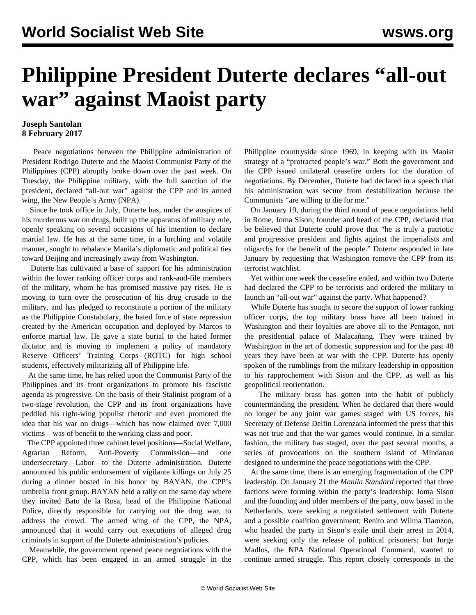## **Philippine President Duterte declares "all-out war" against Maoist party**

## **Joseph Santolan 8 February 2017**

 Peace negotiations between the Philippine administration of President Rodrigo Duterte and the Maoist Communist Party of the Philippines (CPP) abruptly broke down over the past week. On Tuesday, the Philippine military, with the full sanction of the president, declared "all-out war" against the CPP and its armed wing, the New People's Army (NPA).

 Since he took office in July, Duterte has, under the auspices of his murderous war on drugs, built up the apparatus of military rule, openly speaking on several occasions of his intention to declare martial law. He has at the same time, in a lurching and volatile manner, sought to rebalance Manila's diplomatic and political ties toward Beijing and increasingly away from Washington.

 Duterte has cultivated a base of support for his administration within the lower ranking officer corps and rank-and-file members of the military, whom he has promised massive pay rises. He is moving to turn over the prosecution of his drug crusade to the military, and has pledged to reconstitute a portion of the military as the Philippine Constabulary, the hated force of state repression created by the American occupation and deployed by Marcos to enforce martial law. He gave a state burial to the hated former dictator and is moving to implement a policy of mandatory Reserve Officers' Training Corps (ROTC) for high school students, effectively militarizing all of Philippine life.

 At the same time, he has relied upon the Communist Party of the Philippines and its front organizations to promote his fascistic agenda as progressive. On the basis of their Stalinist program of a two-stage revolution, the CPP and its front organizations have peddled his right-wing populist rhetoric and even promoted the idea that his war on drugs—which has now claimed over 7,000 victims—was of benefit to the working class and poor.

 The CPP appointed three cabinet level positions—Social Welfare, Agrarian Reform, Anti-Poverty Commission—and undersecretary—Labor—to the Duterte administration. Duterte announced his public endorsement of vigilante killings on July 25 during a dinner hosted in his honor by BAYAN, the CPP's umbrella front group. BAYAN held a rally on the same day where they invited Bato de la Rosa, head of the Philippine National Police, directly responsible for carrying out the drug war, to address the crowd. The armed wing of the CPP, the NPA, announced that it would carry out executions of alleged drug criminals in support of the Duterte administration's policies.

 Meanwhile, the government opened peace negotiations with the CPP, which has been engaged in an armed struggle in the Philippine countryside since 1969, in keeping with its Maoist strategy of a "protracted people's war." Both the government and the CPP issued unilateral ceasefire orders for the duration of negotiations. By December, Duterte had declared in a speech that his administration was secure from destabilization because the Communists "are willing to die for me."

 On January 19, during the third round of peace negotiations held in Rome, Joma Sison, founder and head of the CPP, declared that be believed that Duterte could prove that "he is truly a patriotic and progressive president and fights against the imperialists and oligarchs for the benefit of the people." Duterte responded in late January by requesting that Washington remove the CPP from its terrorist watchlist.

 Yet within one week the ceasefire ended, and within two Duterte had declared the CPP to be terrorists and ordered the military to launch an "all-out war" against the party. What happened?

 While Duterte has sought to secure the support of lower ranking officer corps, the top military brass have all been trained in Washington and their loyalties are above all to the Pentagon, not the presidential palace of Malacañang. They were trained by Washington in the art of domestic suppression and for the past 48 years they have been at war with the CPP. Duterte has openly spoken of the rumblings from the military leadership in opposition to his rapprochement with Sison and the CPP, as well as his geopolitical reorientation.

 The military brass has gotten into the habit of publicly countermanding the president. When he declared that there would no longer be any joint war games staged with US forces, his Secretary of Defense Delfin Lorenzana informed the press that this was not true and that the war games would continue. In a similar fashion, the military has staged, over the past several months, a series of provocations on the southern island of Mindanao designed to undermine the peace negotiations with the CPP.

 At the same time, there is an emerging fragmentation of the CPP leadership. On January 21 the *Manila Standard* reported that three factions were forming within the party's leadership: Joma Sison and the founding and older members of the party, now based in the Netherlands, were seeking a negotiated settlement with Duterte and a possible coalition government; Benito and Wilma Tiamzon, who headed the party in Sison's exile until their arrest in 2014, were seeking only the release of political prisoners; but Jorge Madlos, the NPA National Operational Command, wanted to continue armed struggle. This report closely corresponds to the